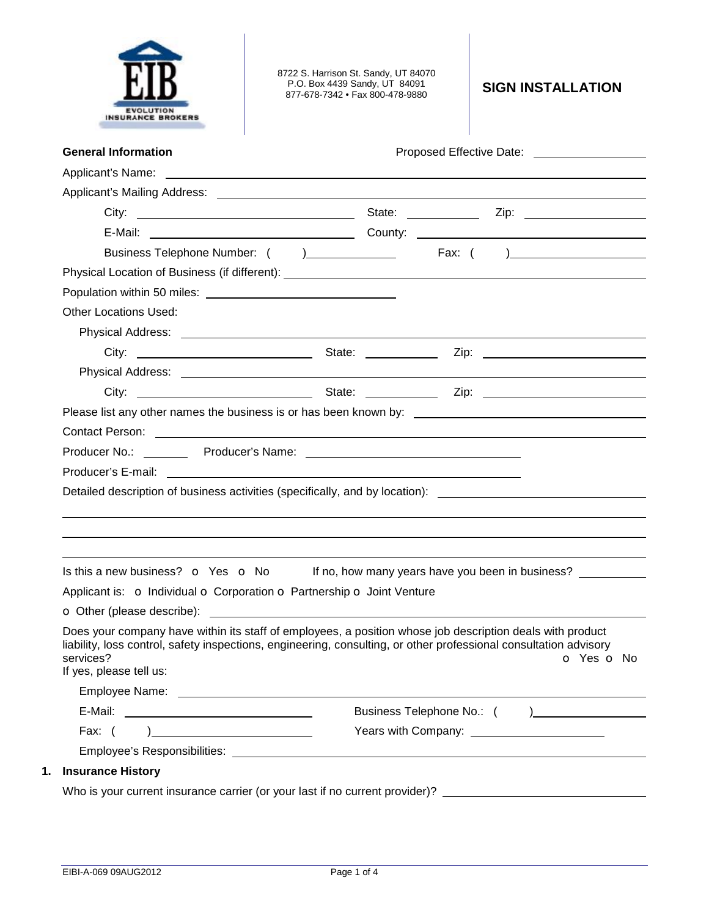| <b>INSURANCE BROKERS</b>                                                                                                                                                                                                                                                           | 8722 S. Harrison St. Sandy, UT 84070<br>P.O. Box 4439 Sandy, UT 84091<br>877-678-7342 • Fax 800-478-9880             | <b>SIGN INSTALLATION</b>                                                     |
|------------------------------------------------------------------------------------------------------------------------------------------------------------------------------------------------------------------------------------------------------------------------------------|----------------------------------------------------------------------------------------------------------------------|------------------------------------------------------------------------------|
| <b>General Information</b>                                                                                                                                                                                                                                                         |                                                                                                                      | Proposed Effective Date: Noted that the proposed Effective Date:             |
|                                                                                                                                                                                                                                                                                    |                                                                                                                      |                                                                              |
|                                                                                                                                                                                                                                                                                    |                                                                                                                      |                                                                              |
|                                                                                                                                                                                                                                                                                    |                                                                                                                      |                                                                              |
|                                                                                                                                                                                                                                                                                    |                                                                                                                      |                                                                              |
|                                                                                                                                                                                                                                                                                    |                                                                                                                      |                                                                              |
|                                                                                                                                                                                                                                                                                    |                                                                                                                      |                                                                              |
|                                                                                                                                                                                                                                                                                    |                                                                                                                      |                                                                              |
| Other Locations Used:                                                                                                                                                                                                                                                              |                                                                                                                      |                                                                              |
|                                                                                                                                                                                                                                                                                    |                                                                                                                      |                                                                              |
|                                                                                                                                                                                                                                                                                    |                                                                                                                      |                                                                              |
|                                                                                                                                                                                                                                                                                    |                                                                                                                      |                                                                              |
|                                                                                                                                                                                                                                                                                    |                                                                                                                      |                                                                              |
|                                                                                                                                                                                                                                                                                    |                                                                                                                      |                                                                              |
| Contact Person: <u>contact of the control of the control of the control of the control of the control of the control of</u>                                                                                                                                                        |                                                                                                                      |                                                                              |
|                                                                                                                                                                                                                                                                                    |                                                                                                                      |                                                                              |
|                                                                                                                                                                                                                                                                                    |                                                                                                                      |                                                                              |
|                                                                                                                                                                                                                                                                                    |                                                                                                                      |                                                                              |
| Detailed description of business activities (specifically, and by location): _______________________                                                                                                                                                                               |                                                                                                                      |                                                                              |
|                                                                                                                                                                                                                                                                                    |                                                                                                                      |                                                                              |
|                                                                                                                                                                                                                                                                                    |                                                                                                                      |                                                                              |
|                                                                                                                                                                                                                                                                                    |                                                                                                                      |                                                                              |
| Is this a new business? o Yes o No<br>Applicant is: o Individual o Corporation o Partnership o Joint Venture<br><b>o</b> Other (please describe):                                                                                                                                  | <u> 1989 - Johann John Stone, markin fan de Amerikaansk kommunister oant it ferskearre fan de Fryske kommunister</u> |                                                                              |
|                                                                                                                                                                                                                                                                                    |                                                                                                                      |                                                                              |
|                                                                                                                                                                                                                                                                                    |                                                                                                                      |                                                                              |
|                                                                                                                                                                                                                                                                                    |                                                                                                                      |                                                                              |
| Does your company have within its staff of employees, a position whose job description deals with product<br>liability, loss control, safety inspections, engineering, consulting, or other professional consultation advisory<br>services?<br>If yes, please tell us:<br>Fax: $($ |                                                                                                                      | If no, how many years have you been in business?<br><b>o</b> Yes <b>o</b> No |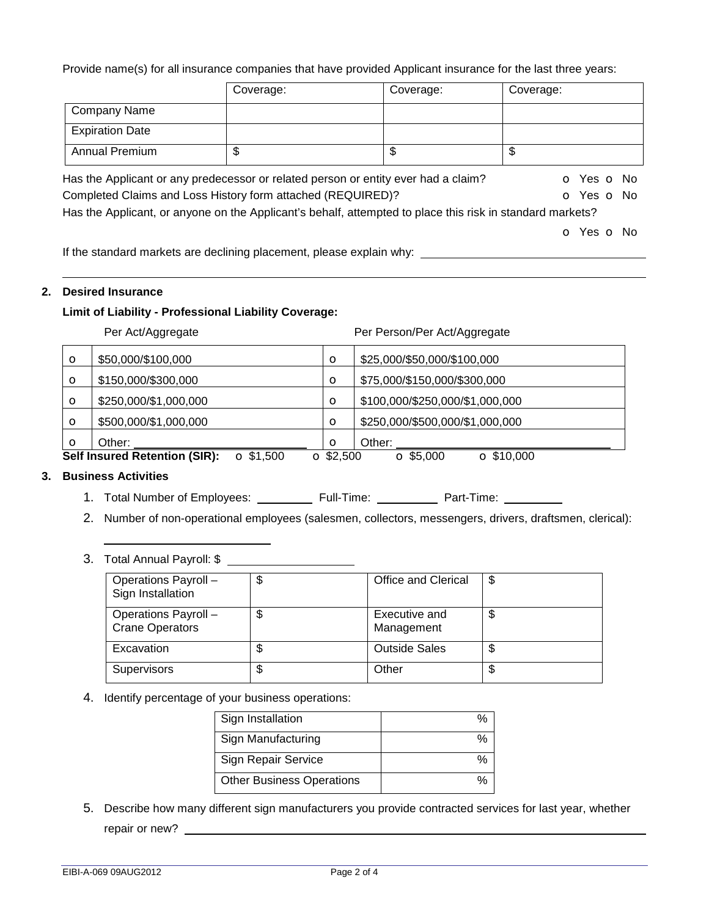Provide name(s) for all insurance companies that have provided Applicant insurance for the last three years:

|                        | Coverage:                                                                                                 | Coverage: | Coverage:  |
|------------------------|-----------------------------------------------------------------------------------------------------------|-----------|------------|
| Company Name           |                                                                                                           |           |            |
| <b>Expiration Date</b> |                                                                                                           |           |            |
| Annual Premium         | \$                                                                                                        | \$        | \$         |
|                        | Has the Applicant or any predecessor or related person or entity ever had a claim?                        |           | o Yes o No |
|                        | Completed Claims and Loss History form attached (REQUIRED)?                                               |           | O Yes O No |
|                        | Has the Applicant, or anyone on the Applicant's behalf, attempted to place this risk in standard markets? |           |            |
|                        |                                                                                                           |           | O Yes O No |
|                        |                                                                                                           |           |            |

If the standard markets are declining placement, please explain why:

# **2. Desired Insurance**

### **Limit of Liability - Professional Liability Coverage:**

Per Act/Aggregate **Per Person/Per Act/Aggregate** 

| $\circ$                                                  | \$50,000/\$100,000    | $\circ$          | \$25,000/\$50,000/\$100,000           |
|----------------------------------------------------------|-----------------------|------------------|---------------------------------------|
| $\circ$                                                  | \$150,000/\$300,000   | $\circ$          | \$75,000/\$150,000/\$300,000          |
| $\circ$                                                  | \$250,000/\$1,000,000 | $\circ$          | \$100,000/\$250,000/\$1,000,000       |
| $\circ$                                                  | \$500,000/\$1,000,000 | $\circ$          | \$250,000/\$500,000/\$1,000,000       |
| $\circ$                                                  | Other:                | $\circ$          | Other:                                |
| <b>Self Insured Retention (SIR):</b><br>$\Omega$ \$1,500 |                       | $\Omega$ \$2,500 | $\Omega$ \$10,000<br>$\Omega$ \$5,000 |

# **3. Business Activities**

- 1. Total Number of Employees: Full-Time: Part-Time:
- 2. Number of non-operational employees (salesmen, collectors, messengers, drivers, draftsmen, clerical):

# 3. Total Annual Payroll: \$

| Operations Payroll -<br>Sign Installation      | \$<br>Office and Clerical         | \$ |
|------------------------------------------------|-----------------------------------|----|
| Operations Payroll -<br><b>Crane Operators</b> | \$<br>Executive and<br>Management | \$ |
| Excavation                                     | \$<br><b>Outside Sales</b>        | \$ |
| <b>Supervisors</b>                             | \$<br>Other                       | \$ |

### 4. Identify percentage of your business operations:

| Sign Installation                |  |
|----------------------------------|--|
| Sign Manufacturing               |  |
| Sign Repair Service              |  |
| <b>Other Business Operations</b> |  |

5. Describe how many different sign manufacturers you provide contracted services for last year, whether repair or new?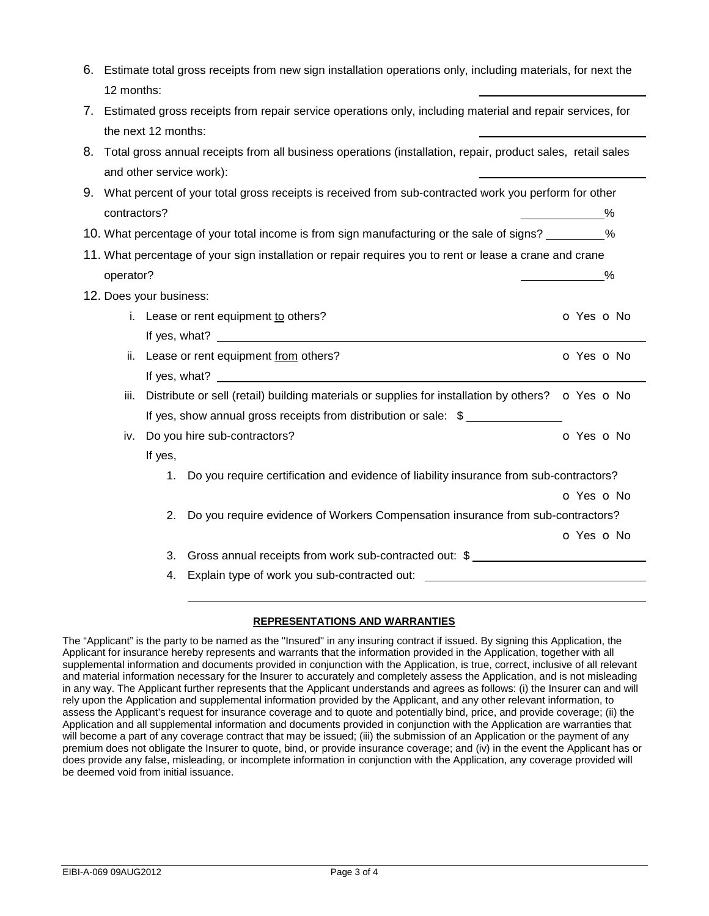|    |                                                                                                         |                         | 6. Estimate total gross receipts from new sign installation operations only, including materials, for next the |                      |
|----|---------------------------------------------------------------------------------------------------------|-------------------------|----------------------------------------------------------------------------------------------------------------|----------------------|
|    | 12 months:                                                                                              |                         |                                                                                                                |                      |
|    |                                                                                                         |                         | 7. Estimated gross receipts from repair service operations only, including material and repair services, for   |                      |
|    |                                                                                                         | the next 12 months:     |                                                                                                                |                      |
| 8. |                                                                                                         |                         | Total gross annual receipts from all business operations (installation, repair, product sales, retail sales    |                      |
|    |                                                                                                         |                         | and other service work):                                                                                       |                      |
|    | 9. What percent of your total gross receipts is received from sub-contracted work you perform for other |                         |                                                                                                                |                      |
|    | contractors?                                                                                            |                         |                                                                                                                | $\sim$ $\sim$ $\sim$ |
|    |                                                                                                         |                         | 10. What percentage of your total income is from sign manufacturing or the sale of signs? _________%           |                      |
|    |                                                                                                         |                         | 11. What percentage of your sign installation or repair requires you to rent or lease a crane and crane        |                      |
|    | operator?                                                                                               |                         |                                                                                                                | $\frac{9}{6}$        |
|    |                                                                                                         | 12. Does your business: |                                                                                                                |                      |
|    |                                                                                                         |                         | i. Lease or rent equipment to others?                                                                          | o Yes o No           |
|    |                                                                                                         |                         |                                                                                                                |                      |
|    | ii.                                                                                                     |                         | Lease or rent equipment from others?                                                                           | o Yes o No           |
|    |                                                                                                         |                         |                                                                                                                |                      |
|    | iii.                                                                                                    |                         | Distribute or sell (retail) building materials or supplies for installation by others? • O Yes O No            |                      |
|    |                                                                                                         |                         | If yes, show annual gross receipts from distribution or sale: \$                                               |                      |
|    | iv.                                                                                                     |                         | Do you hire sub-contractors?                                                                                   | o Yes o No           |
|    |                                                                                                         | If yes,                 |                                                                                                                |                      |
|    |                                                                                                         | 1.                      | Do you require certification and evidence of liability insurance from sub-contractors?                         |                      |
|    |                                                                                                         |                         |                                                                                                                | o Yes o No           |
|    |                                                                                                         | 2.                      | Do you require evidence of Workers Compensation insurance from sub-contractors?                                |                      |
|    |                                                                                                         |                         |                                                                                                                | o Yes o No           |
|    |                                                                                                         | 3.                      | Gross annual receipts from work sub-contracted out: \$                                                         |                      |
|    |                                                                                                         | 4.                      | Explain type of work you sub-contracted out:<br><u>Explain type of work you sub-contracted out:</u>            |                      |
|    |                                                                                                         |                         |                                                                                                                |                      |

### **REPRESENTATIONS AND WARRANTIES**

The "Applicant" is the party to be named as the "Insured" in any insuring contract if issued. By signing this Application, the Applicant for insurance hereby represents and warrants that the information provided in the Application, together with all supplemental information and documents provided in conjunction with the Application, is true, correct, inclusive of all relevant and material information necessary for the Insurer to accurately and completely assess the Application, and is not misleading in any way. The Applicant further represents that the Applicant understands and agrees as follows: (i) the Insurer can and will rely upon the Application and supplemental information provided by the Applicant, and any other relevant information, to assess the Applicant's request for insurance coverage and to quote and potentially bind, price, and provide coverage; (ii) the Application and all supplemental information and documents provided in conjunction with the Application are warranties that will become a part of any coverage contract that may be issued; (iii) the submission of an Application or the payment of any premium does not obligate the Insurer to quote, bind, or provide insurance coverage; and (iv) in the event the Applicant has or does provide any false, misleading, or incomplete information in conjunction with the Application, any coverage provided will be deemed void from initial issuance.